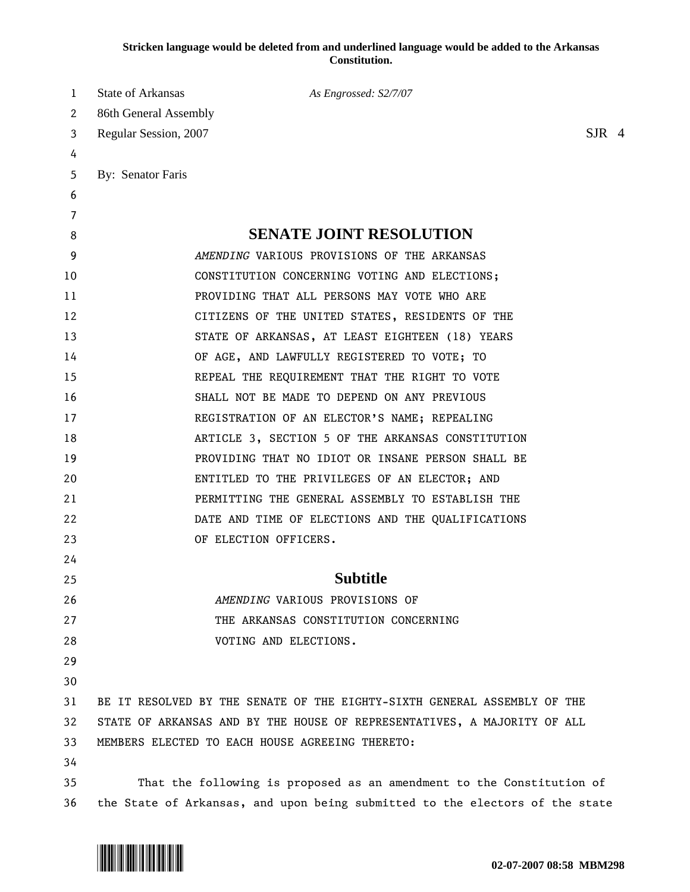## **Stricken language would be deleted from and underlined language would be added to the Arkansas Constitution.**

| 1  | State of Arkansas<br>As Engrossed: S2/7/07                                   |          |  |
|----|------------------------------------------------------------------------------|----------|--|
| 2  | 86th General Assembly                                                        |          |  |
| 3  | Regular Session, 2007                                                        | $S$ JR 4 |  |
| 4  |                                                                              |          |  |
| 5  | By: Senator Faris                                                            |          |  |
| 6  |                                                                              |          |  |
| 7  |                                                                              |          |  |
| 8  | <b>SENATE JOINT RESOLUTION</b>                                               |          |  |
| 9  | AMENDING VARIOUS PROVISIONS OF THE ARKANSAS                                  |          |  |
| 10 | CONSTITUTION CONCERNING VOTING AND ELECTIONS;                                |          |  |
| 11 | PROVIDING THAT ALL PERSONS MAY VOTE WHO ARE                                  |          |  |
| 12 | CITIZENS OF THE UNITED STATES, RESIDENTS OF THE                              |          |  |
| 13 | STATE OF ARKANSAS, AT LEAST EIGHTEEN (18) YEARS                              |          |  |
| 14 | OF AGE, AND LAWFULLY REGISTERED TO VOTE; TO                                  |          |  |
| 15 | REPEAL THE REQUIREMENT THAT THE RIGHT TO VOTE                                |          |  |
| 16 | SHALL NOT BE MADE TO DEPEND ON ANY PREVIOUS                                  |          |  |
| 17 | REGISTRATION OF AN ELECTOR'S NAME; REPEALING                                 |          |  |
| 18 | ARTICLE 3, SECTION 5 OF THE ARKANSAS CONSTITUTION                            |          |  |
| 19 | PROVIDING THAT NO IDIOT OR INSANE PERSON SHALL BE                            |          |  |
| 20 | ENTITLED TO THE PRIVILEGES OF AN ELECTOR; AND                                |          |  |
| 21 | PERMITTING THE GENERAL ASSEMBLY TO ESTABLISH THE                             |          |  |
| 22 | DATE AND TIME OF ELECTIONS AND THE QUALIFICATIONS                            |          |  |
| 23 | OF ELECTION OFFICERS.                                                        |          |  |
| 24 |                                                                              |          |  |
| 25 | Subtitle                                                                     |          |  |
| 26 | AMENDING VARIOUS PROVISIONS OF                                               |          |  |
| 27 | THE ARKANSAS CONSTITUTION CONCERNING                                         |          |  |
| 28 | VOTING AND ELECTIONS.                                                        |          |  |
| 29 |                                                                              |          |  |
| 30 |                                                                              |          |  |
| 31 | BE IT RESOLVED BY THE SENATE OF THE EIGHTY-SIXTH GENERAL ASSEMBLY OF THE     |          |  |
| 32 | STATE OF ARKANSAS AND BY THE HOUSE OF REPRESENTATIVES, A MAJORITY OF ALL     |          |  |
| 33 | MEMBERS ELECTED TO EACH HOUSE AGREEING THERETO:                              |          |  |
| 34 |                                                                              |          |  |
| 35 | That the following is proposed as an amendment to the Constitution of        |          |  |
| 36 | the State of Arkansas, and upon being submitted to the electors of the state |          |  |

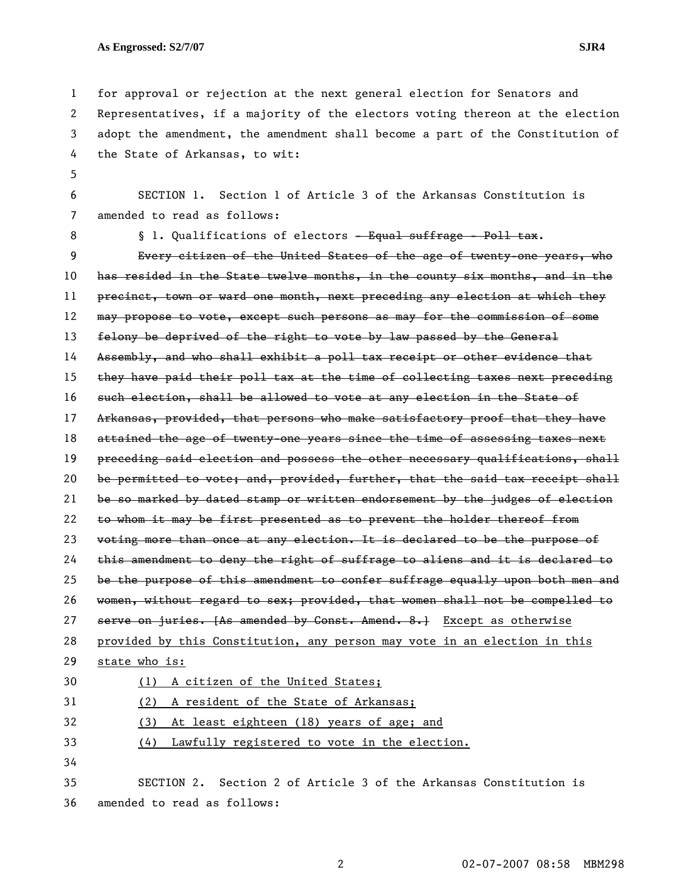5

1 for approval or rejection at the next general election for Senators and 2 Representatives, if a majority of the electors voting thereon at the election 3 adopt the amendment, the amendment shall become a part of the Constitution of 4 the State of Arkansas, to wit:

6 SECTION 1. Section 1 of Article 3 of the Arkansas Constitution is 7 amended to read as follows:

8 **§** 1. Qualifications of electors - Equal suffrage - Poll tax. 9 Every citizen of the United States of the age of twenty-one years, who 10 has resided in the State twelve months, in the county six months, and in the 11 precinct, town or ward one month, next preceding any election at which they 12 may propose to vote, except such persons as may for the commission of some 13 felony be deprived of the right to vote by law passed by the General 14 Assembly, and who shall exhibit a poll tax receipt or other evidence that 15 they have paid their poll tax at the time of collecting taxes next preceding 16 such election, shall be allowed to vote at any election in the State of 17 Arkansas, provided, that persons who make satisfactory proof that they have 18 attained the age of twenty-one years since the time of assessing taxes next 19 preceding said election and possess the other necessary qualifications, shall 20 be permitted to vote; and, provided, further, that the said tax receipt shall 21 be so marked by dated stamp or written endorsement by the judges of election 22 to whom it may be first presented as to prevent the holder thereof from 23 voting more than once at any election. It is declared to be the purpose of 24 this amendment to deny the right of suffrage to aliens and it is declared to 25 be the purpose of this amendment to confer suffrage equally upon both men and 26 women, without regard to sex; provided, that women shall not be compelled to 27 serve on juries. [As amended by Const. Amend. 8.] Except as otherwise 28 provided by this Constitution, any person may vote in an election in this 29 state who is: 30 (1) A citizen of the United States; 31 (2) A resident of the State of Arkansas; 32 (3) At least eighteen (18) years of age; and 33 (4) Lawfully registered to vote in the election. 34 35 SECTION 2. Section 2 of Article 3 of the Arkansas Constitution is 36 amended to read as follows: